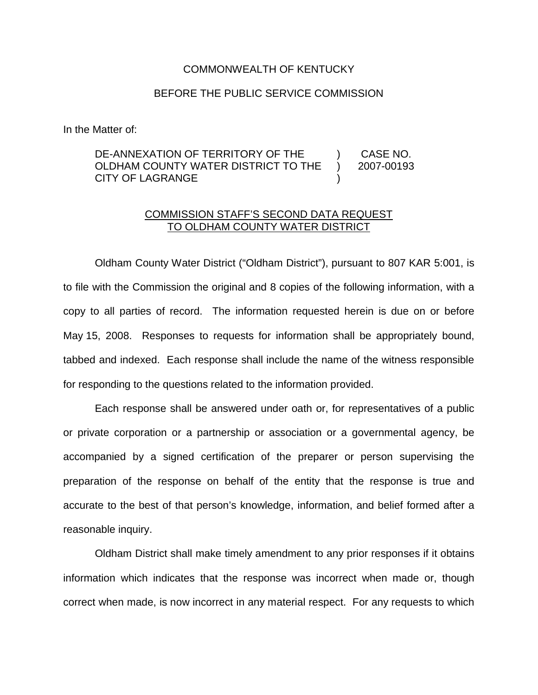## COMMONWEALTH OF KENTUCKY

## BEFORE THE PUBLIC SERVICE COMMISSION

In the Matter of:

## DE-ANNEXATION OF TERRITORY OF THE OLDHAM COUNTY WATER DISTRICT TO THE CITY OF LAGRANGE ) CASE NO. ) 2007-00193 )

## COMMISSION STAFF'S SECOND DATA REQUEST TO OLDHAM COUNTY WATER DISTRICT

Oldham County Water District ("Oldham District"), pursuant to 807 KAR 5:001, is to file with the Commission the original and 8 copies of the following information, with a copy to all parties of record. The information requested herein is due on or before May 15, 2008. Responses to requests for information shall be appropriately bound, tabbed and indexed. Each response shall include the name of the witness responsible for responding to the questions related to the information provided.

Each response shall be answered under oath or, for representatives of a public or private corporation or a partnership or association or a governmental agency, be accompanied by a signed certification of the preparer or person supervising the preparation of the response on behalf of the entity that the response is true and accurate to the best of that person's knowledge, information, and belief formed after a reasonable inquiry.

Oldham District shall make timely amendment to any prior responses if it obtains information which indicates that the response was incorrect when made or, though correct when made, is now incorrect in any material respect. For any requests to which